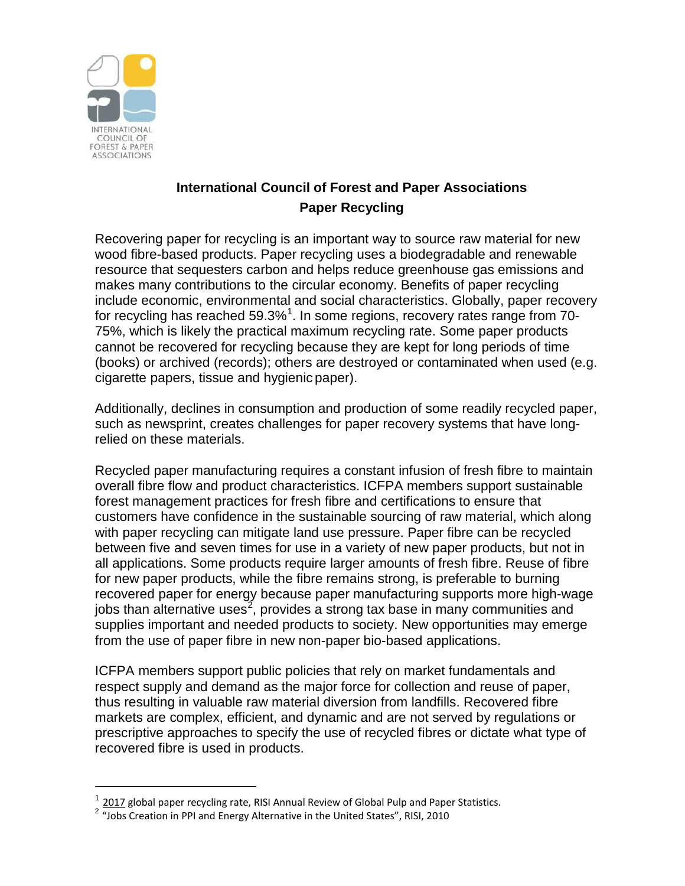

-

## **International Council of Forest and Paper Associations Paper Recycling**

Recovering paper for recycling is an important way to source raw material for new wood fibre-based products. Paper recycling uses a biodegradable and renewable resource that sequesters carbon and helps reduce greenhouse gas emissions and makes many contributions to the circular economy. Benefits of paper recycling include economic, environmental and social characteristics. Globally, paper recovery for recycling has reached 59.3% $^{\rm 1}$  $^{\rm 1}$  $^{\rm 1}$ . In some regions, recovery rates range from 70-75%, which is likely the practical maximum recycling rate. Some paper products cannot be recovered for recycling because they are kept for long periods of time (books) or archived (records); others are destroyed or contaminated when used (e.g. cigarette papers, tissue and hygienic paper).

Additionally, declines in consumption and production of some readily recycled paper, such as newsprint, creates challenges for paper recovery systems that have longrelied on these materials.

Recycled paper manufacturing requires a constant infusion of fresh fibre to maintain overall fibre flow and product characteristics. ICFPA members support sustainable forest management practices for fresh fibre and certifications to ensure that customers have confidence in the sustainable sourcing of raw material, which along with paper recycling can mitigate land use pressure. Paper fibre can be recycled between five and seven times for use in a variety of new paper products, but not in all applications. Some products require larger amounts of fresh fibre. Reuse of fibre for new paper products, while the fibre remains strong, is preferable to burning recovered paper for energy because paper manufacturing supports more high-wage jobs than alternative uses<sup>[2](#page-0-1)</sup>, provides a strong tax base in many communities and supplies important and needed products to society. New opportunities may emerge from the use of paper fibre in new non-paper bio-based applications.

ICFPA members support public policies that rely on market fundamentals and respect supply and demand as the major force for collection and reuse of paper, thus resulting in valuable raw material diversion from landfills. Recovered fibre markets are complex, efficient, and dynamic and are not served by regulations or prescriptive approaches to specify the use of recycled fibres or dictate what type of recovered fibre is used in products.

<sup>2017</sup> global paper recycling rate, RISI Annual Review of Global Pulp and Paper Statistics.

<span id="page-0-1"></span><span id="page-0-0"></span><sup>&</sup>lt;sup>2</sup> "Jobs Creation in PPI and Energy Alternative in the United States", RISI, 2010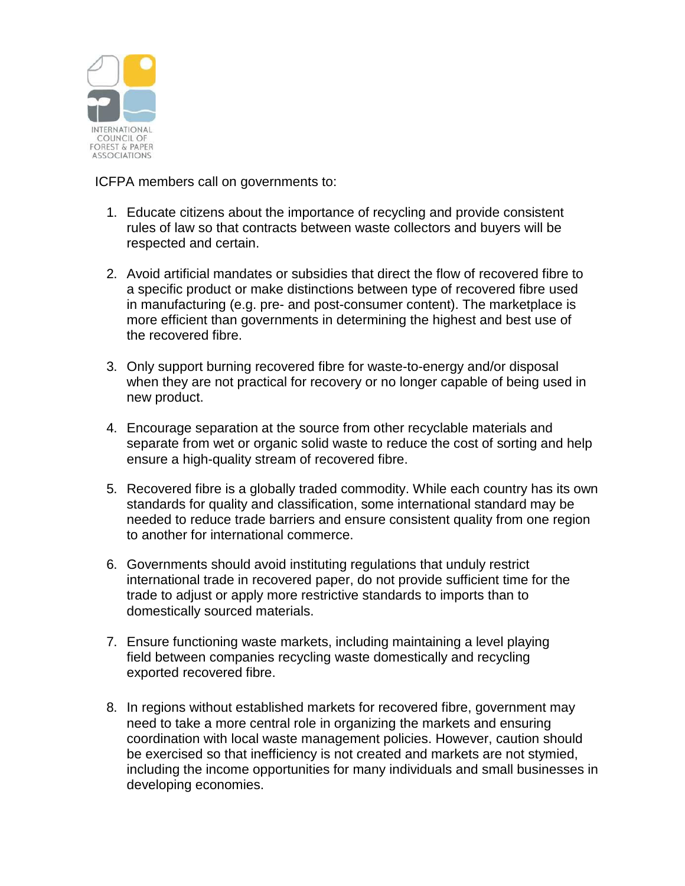

ICFPA members call on governments to:

- 1. Educate citizens about the importance of recycling and provide consistent rules of law so that contracts between waste collectors and buyers will be respected and certain.
- 2. Avoid artificial mandates or subsidies that direct the flow of recovered fibre to a specific product or make distinctions between type of recovered fibre used in manufacturing (e.g. pre- and post-consumer content). The marketplace is more efficient than governments in determining the highest and best use of the recovered fibre.
- 3. Only support burning recovered fibre for waste-to-energy and/or disposal when they are not practical for recovery or no longer capable of being used in new product.
- 4. Encourage separation at the source from other recyclable materials and separate from wet or organic solid waste to reduce the cost of sorting and help ensure a high-quality stream of recovered fibre.
- 5. Recovered fibre is a globally traded commodity. While each country has its own standards for quality and classification, some international standard may be needed to reduce trade barriers and ensure consistent quality from one region to another for international commerce.
- 6. Governments should avoid instituting regulations that unduly restrict international trade in recovered paper, do not provide sufficient time for the trade to adjust or apply more restrictive standards to imports than to domestically sourced materials.
- 7. Ensure functioning waste markets, including maintaining a level playing field between companies recycling waste domestically and recycling exported recovered fibre.
- 8. In regions without established markets for recovered fibre, government may need to take a more central role in organizing the markets and ensuring coordination with local waste management policies. However, caution should be exercised so that inefficiency is not created and markets are not stymied, including the income opportunities for many individuals and small businesses in developing economies.